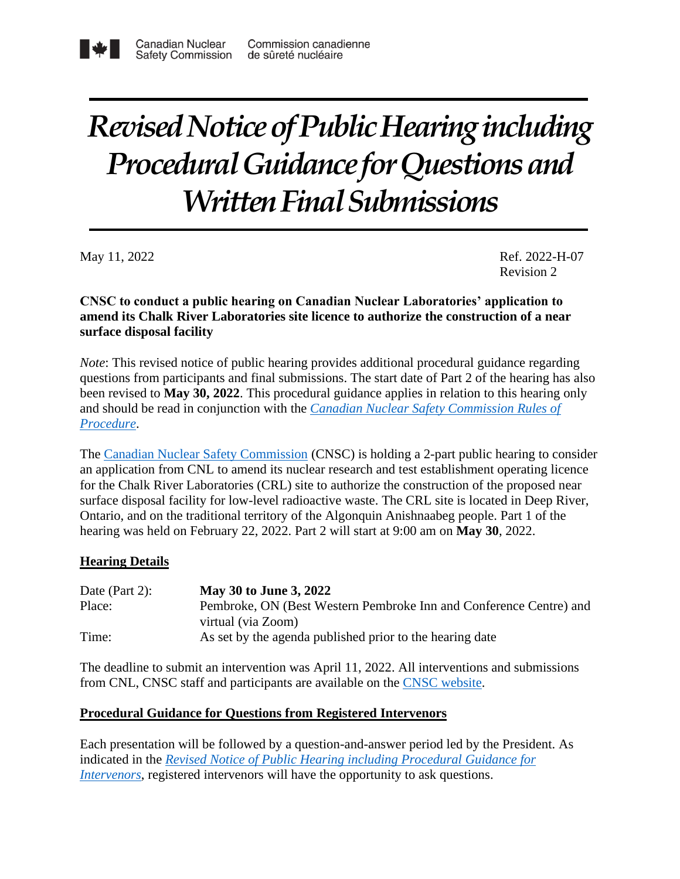# *Revised Notice of Public Hearing including Procedural Guidance for Questions and Written Final Submissions*

May 11, 2022 Ref. 2022-H-07 Revision 2

## **CNSC to conduct a public hearing on Canadian Nuclear Laboratories' application to amend its Chalk River Laboratories site licence to authorize the construction of a near surface disposal facility**

*Note*: This revised notice of public hearing provides additional procedural guidance regarding questions from participants and final submissions. The start date of Part 2 of the hearing has also been revised to **May 30, 2022**. This procedural guidance applies in relation to this hearing only and should be read in conjunction with the *[Canadian Nuclear Safety Commission Rules of](https://laws.justice.gc.ca/PDF/SOR-2000-211.pdf)  [Procedure](https://laws.justice.gc.ca/PDF/SOR-2000-211.pdf)*.

The [Canadian Nuclear Safety Commission](http://www.nuclearsafety.gc.ca/eng/) (CNSC) is holding a 2-part public hearing to consider an application from CNL to amend its nuclear research and test establishment operating licence for the Chalk River Laboratories (CRL) site to authorize the construction of the proposed near surface disposal facility for low-level radioactive waste. The CRL site is located in Deep River, Ontario, and on the traditional territory of the Algonquin Anishnaabeg people. Part 1 of the hearing was held on February 22, 2022. Part 2 will start at 9:00 am on **May 30**, 2022.

# **Hearing Details**

| Date (Part 2): | May 30 to June 3, 2022                                             |
|----------------|--------------------------------------------------------------------|
| Place:         | Pembroke, ON (Best Western Pembroke Inn and Conference Centre) and |
|                | virtual (via Zoom)                                                 |
| Time:          | As set by the agenda published prior to the hearing date           |

The deadline to submit an intervention was April 11, 2022. All interventions and submissions from CNL, CNSC staff and participants are available on the [CNSC website.](http://nuclearsafety.gc.ca/eng/the-commission/hearings/cmd/index.cfm#hearing-20220530-202206)

## **Procedural Guidance for Questions from Registered Intervenors**

Each presentation will be followed by a question-and-answer period led by the President. As indicated in the *[Revised Notice of Public Hearing including Procedural Guidance for](https://www.nuclearsafety.gc.ca/eng/the-commission/pdf/NoticeRev1-PublicHearing-CNL-NSDF-22-H7-e.pdf)  [Intervenors](https://www.nuclearsafety.gc.ca/eng/the-commission/pdf/NoticeRev1-PublicHearing-CNL-NSDF-22-H7-e.pdf)*, registered intervenors will have the opportunity to ask questions.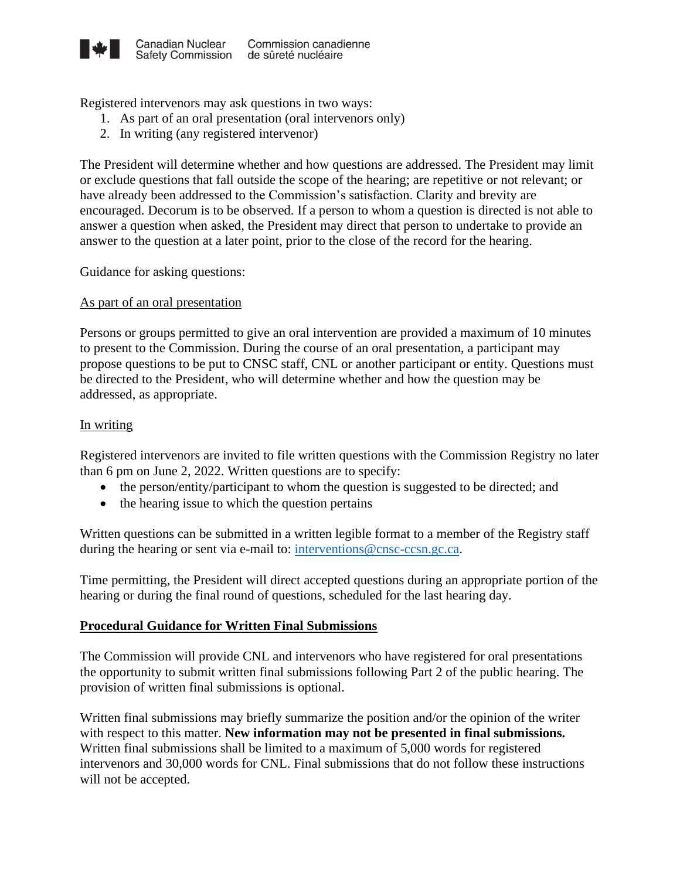

Registered intervenors may ask questions in two ways:

- 1. As part of an oral presentation (oral intervenors only)
- 2. In writing (any registered intervenor)

The President will determine whether and how questions are addressed. The President may limit or exclude questions that fall outside the scope of the hearing; are repetitive or not relevant; or have already been addressed to the Commission's satisfaction. Clarity and brevity are encouraged. Decorum is to be observed. If a person to whom a question is directed is not able to answer a question when asked, the President may direct that person to undertake to provide an answer to the question at a later point, prior to the close of the record for the hearing.

Guidance for asking questions:

#### As part of an oral presentation

Persons or groups permitted to give an oral intervention are provided a maximum of 10 minutes to present to the Commission. During the course of an oral presentation, a participant may propose questions to be put to CNSC staff, CNL or another participant or entity. Questions must be directed to the President, who will determine whether and how the question may be addressed, as appropriate.

#### In writing

Registered intervenors are invited to file written questions with the Commission Registry no later than 6 pm on June 2, 2022. Written questions are to specify:

- the person/entity/participant to whom the question is suggested to be directed; and
- the hearing issue to which the question pertains

Written questions can be submitted in a written legible format to a member of the Registry staff during the hearing or sent via e-mail to: [interventions@cnsc-ccsn.gc.ca.](mailto:interventions@cnsc-ccsn.gc.ca)

Time permitting, the President will direct accepted questions during an appropriate portion of the hearing or during the final round of questions, scheduled for the last hearing day.

#### **Procedural Guidance for Written Final Submissions**

The Commission will provide CNL and intervenors who have registered for oral presentations the opportunity to submit written final submissions following Part 2 of the public hearing. The provision of written final submissions is optional.

Written final submissions may briefly summarize the position and/or the opinion of the writer with respect to this matter. **New information may not be presented in final submissions.** Written final submissions shall be limited to a maximum of 5,000 words for registered intervenors and 30,000 words for CNL. Final submissions that do not follow these instructions will not be accepted.